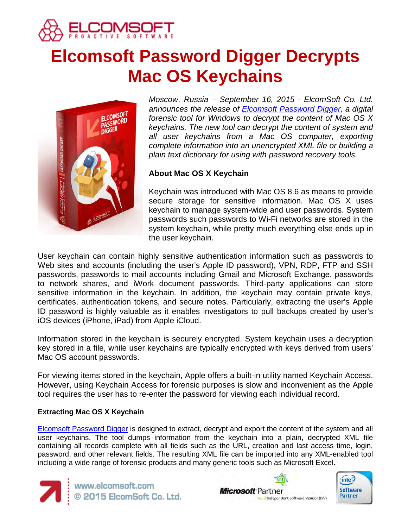

# **Elcomsoft Password Digger Decrypts Mac OS Keychains**



*Moscow, Russia – September 16, 2015 - ElcomSoft Co. Ltd. announces the release of [Elcomsoft Password](https://www.elcomsoft.com/epd.html) Digger, a digital forensic tool for Windows to decrypt the content of Mac OS X keychains. The new tool can decrypt the content of system and all user keychains from a Mac OS computer, exporting complete information into an unencrypted XML file or building a plain text dictionary for using with password recovery tools.*

# **About Mac OS X Keychain**

Keychain was introduced with Mac OS 8.6 as means to provide secure storage for sensitive information. Mac OS X uses keychain to manage system-wide and user passwords. System passwords such passwords to Wi-Fi networks are stored in the system keychain, while pretty much everything else ends up in the user keychain.

User keychain can contain highly sensitive authentication information such as passwords to Web sites and accounts (including the user's Apple ID password), VPN, RDP, FTP and SSH passwords, passwords to mail accounts including Gmail and Microsoft Exchange, passwords to network shares, and iWork document passwords. Third-party applications can store sensitive information in the keychain. In addition, the keychain may contain private keys, certificates, authentication tokens, and secure notes. Particularly, extracting the user's Apple ID password is highly valuable as it enables investigators to pull backups created by user's iOS devices (iPhone, iPad) from Apple iCloud.

Information stored in the keychain is securely encrypted. System keychain uses a decryption key stored in a file, while user keychains are typically encrypted with keys derived from users' Mac OS account passwords.

For viewing items stored in the keychain, Apple offers a built-in utility named Keychain Access. However, using Keychain Access for forensic purposes is slow and inconvenient as the Apple tool requires the user has to re-enter the password for viewing each individual record.

## **Extracting Mac OS X Keychain**

[Elcomsoft Password](https://www.elcomsoft.com/epd.html) Digger is designed to extract, decrypt and export the content of the system and all user keychains. The tool dumps information from the keychain into a plain, decrypted XML file containing all records complete with all fields such as the URL, creation and last access time, login, password, and other relevant fields. The resulting XML file can be imported into any XML-enabled tool including a wide range of forensic products and many generic tools such as Microsoft Excel.